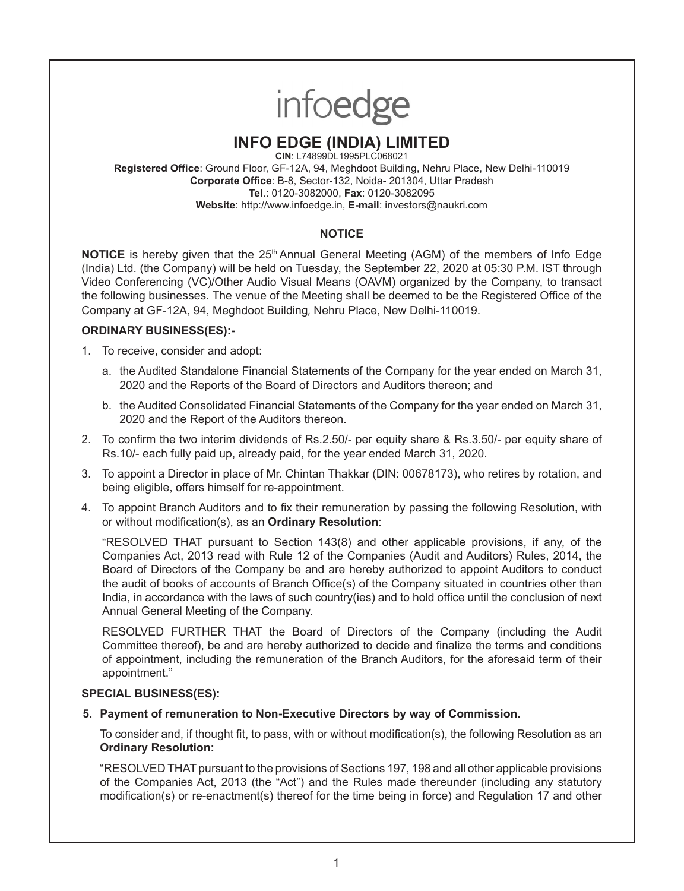# infoedge

# **INFO EDGE (INDIA) LIMITED**

**CIN**: L74899DL1995PLC068021 **Registered Office**: Ground Floor, GF-12A, 94, Meghdoot Building, Nehru Place, New Delhi-110019 **Corporate Office**: B-8, Sector-132, Noida- 201304, Uttar Pradesh **Tel**.: 0120-3082000, **Fax**: 0120-3082095 **Website**: http://www.infoedge.in, **E-mail**: investors@naukri.com

# **NOTICE**

**NOTICE** is hereby given that the 25<sup>th</sup> Annual General Meeting (AGM) of the members of Info Edge (India) Ltd. (the Company) will be held on Tuesday, the September 22, 2020 at 05:30 P.M. IST through Video Conferencing (VC)/Other Audio Visual Means (OAVM) organized by the Company, to transact the following businesses. The venue of the Meeting shall be deemed to be the Registered Office of the Company at GF-12A, 94, Meghdoot Building, Nehru Place, New Delhi-110019.

# **ORDINARY BUSINESS(ES):-**

- 1. To receive, consider and adopt:
	- a. the Audited Standalone Financial Statements of the Company for the year ended on March 31, 2020 and the Reports of the Board of Directors and Auditors thereon; and
	- b. the Audited Consolidated Financial Statements of the Company for the year ended on March 31, 2020 and the Report of the Auditors thereon.
- 2. To confirm the two interim dividends of Rs.2.50/- per equity share & Rs.3.50/- per equity share of Rs.10/- each fully paid up, already paid, for the year ended March 31, 2020.
- 3. To appoint a Director in place of Mr. Chintan Thakkar (DIN: 00678173), who retires by rotation, and being eligible, offers himself for re-appointment.
- 4. To appoint Branch Auditors and to fix their remuneration by passing the following Resolution, with or without modification(s), as an **Ordinary Resolution**:

"RESOLVED THAT pursuant to Section 143(8) and other applicable provisions, if any, of the Companies Act, 2013 read with Rule 12 of the Companies (Audit and Auditors) Rules, 2014, the Board of Directors of the Company be and are hereby authorized to appoint Auditors to conduct the audit of books of accounts of Branch Office(s) of the Company situated in countries other than India, in accordance with the laws of such country(ies) and to hold office until the conclusion of next Annual General Meeting of the Company.

RESOLVED FURTHER THAT the Board of Directors of the Company (including the Audit Committee thereof), be and are hereby authorized to decide and finalize the terms and conditions of appointment, including the remuneration of the Branch Auditors, for the aforesaid term of their appointment."

# **SPECIAL BUSINESS(ES):**

**5. Payment of remuneration to Non-Executive Directors by way of Commission.**

To consider and, if thought fit, to pass, with or without modification(s), the following Resolution as an **Ordinary Resolution:**

"RESOLVED THAT pursuant to the provisions of Sections 197, 198 and all other applicable provisions of the Companies Act, 2013 (the "Act") and the Rules made thereunder (including any statutory modification(s) or re-enactment(s) thereof for the time being in force) and Regulation 17 and other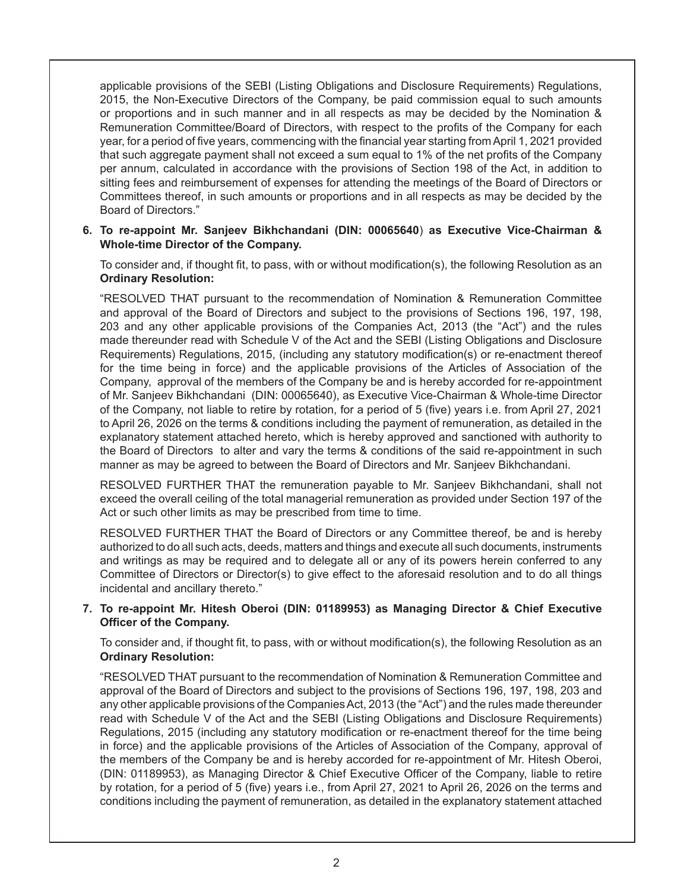applicable provisions of the SEBI (Listing Obligations and Disclosure Requirements) Regulations, 2015, the Non-Executive Directors of the Company, be paid commission equal to such amounts or proportions and in such manner and in all respects as may be decided by the Nomination & Remuneration Committee/Board of Directors, with respect to the profits of the Company for each year, for a period of five years, commencing with the financial year starting from April 1, 2021 provided that such aggregate payment shall not exceed a sum equal to 1% of the net profits of the Company per annum, calculated in accordance with the provisions of Section 198 of the Act, in addition to sitting fees and reimbursement of expenses for attending the meetings of the Board of Directors or Committees thereof, in such amounts or proportions and in all respects as may be decided by the Board of Directors."

### **6. To re-appoint Mr. Sanjeev Bikhchandani (DIN: 00065640**) **as Executive Vice-Chairman & Whole-time Director of the Company.**

To consider and, if thought fit, to pass, with or without modification(s), the following Resolution as an **Ordinary Resolution:**

"RESOLVED THAT pursuant to the recommendation of Nomination & Remuneration Committee and approval of the Board of Directors and subject to the provisions of Sections 196, 197, 198, 203 and any other applicable provisions of the Companies Act, 2013 (the "Act") and the rules made thereunder read with Schedule V of the Act and the SEBI (Listing Obligations and Disclosure Requirements) Regulations, 2015, (including any statutory modification(s) or re-enactment thereof for the time being in force) and the applicable provisions of the Articles of Association of the Company, approval of the members of the Company be and is hereby accorded for re-appointment of Mr. Sanjeev Bikhchandani (DIN: 00065640), as Executive Vice-Chairman & Whole-time Director of the Company, not liable to retire by rotation, for a period of 5 (five) years i.e. from April 27, 2021 to April 26, 2026 on the terms & conditions including the payment of remuneration, as detailed in the explanatory statement attached hereto, which is hereby approved and sanctioned with authority to the Board of Directors to alter and vary the terms & conditions of the said re-appointment in such manner as may be agreed to between the Board of Directors and Mr. Sanjeev Bikhchandani.

RESOLVED FURTHER THAT the remuneration payable to Mr. Sanjeev Bikhchandani, shall not exceed the overall ceiling of the total managerial remuneration as provided under Section 197 of the Act or such other limits as may be prescribed from time to time.

RESOLVED FURTHER THAT the Board of Directors or any Committee thereof, be and is hereby authorized to do all such acts, deeds, matters and things and execute all such documents, instruments and writings as may be required and to delegate all or any of its powers herein conferred to any Committee of Directors or Director(s) to give effect to the aforesaid resolution and to do all things incidental and ancillary thereto."

# **7. To re-appoint Mr. Hitesh Oberoi (DIN: 01189953) as Managing Director & Chief Executive Officer of the Company.**

To consider and, if thought fit, to pass, with or without modification(s), the following Resolution as an **Ordinary Resolution:**

"RESOLVED THAT pursuant to the recommendation of Nomination & Remuneration Committee and approval of the Board of Directors and subject to the provisions of Sections 196, 197, 198, 203 and any other applicable provisions of the Companies Act, 2013 (the "Act") and the rules made thereunder read with Schedule V of the Act and the SEBI (Listing Obligations and Disclosure Requirements) Regulations, 2015 (including any statutory modification or re-enactment thereof for the time being in force) and the applicable provisions of the Articles of Association of the Company, approval of the members of the Company be and is hereby accorded for re-appointment of Mr. Hitesh Oberoi, (DIN: 01189953), as Managing Director & Chief Executive Officer of the Company, liable to retire by rotation, for a period of 5 (five) years i.e., from April 27, 2021 to April 26, 2026 on the terms and conditions including the payment of remuneration, as detailed in the explanatory statement attached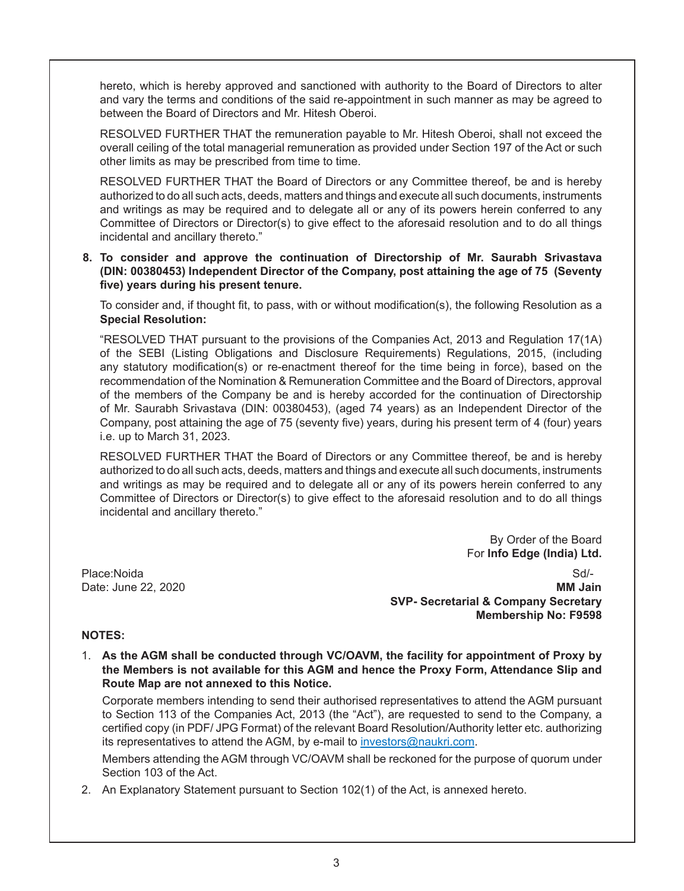hereto, which is hereby approved and sanctioned with authority to the Board of Directors to alter and vary the terms and conditions of the said re-appointment in such manner as may be agreed to between the Board of Directors and Mr. Hitesh Oberoi.

RESOLVED FURTHER THAT the remuneration payable to Mr. Hitesh Oberoi, shall not exceed the overall ceiling of the total managerial remuneration as provided under Section 197 of the Act or such other limits as may be prescribed from time to time.

RESOLVED FURTHER THAT the Board of Directors or any Committee thereof, be and is hereby authorized to do all such acts, deeds, matters and things and execute all such documents, instruments and writings as may be required and to delegate all or any of its powers herein conferred to any Committee of Directors or Director(s) to give effect to the aforesaid resolution and to do all things incidental and ancillary thereto."

**8. To consider and approve the continuation of Directorship of Mr. Saurabh Srivastava (DIN: 00380453) Independent Director of the Company, post attaining the age of 75 (Seventy five) years during his present tenure.**

To consider and, if thought fit, to pass, with or without modification(s), the following Resolution as a **Special Resolution:**

"RESOLVED THAT pursuant to the provisions of the Companies Act, 2013 and Regulation 17(1A) of the SEBI (Listing Obligations and Disclosure Requirements) Regulations, 2015, (including any statutory modification(s) or re-enactment thereof for the time being in force), based on the recommendation of the Nomination & Remuneration Committee and the Board of Directors, approval of the members of the Company be and is hereby accorded for the continuation of Directorship of Mr. Saurabh Srivastava (DIN: 00380453), (aged 74 years) as an Independent Director of the Company, post attaining the age of 75 (seventy five) years, during his present term of 4 (four) years i.e. up to March 31, 2023.

RESOLVED FURTHER THAT the Board of Directors or any Committee thereof, be and is hereby authorized to do all such acts, deeds, matters and things and execute all such documents, instruments and writings as may be required and to delegate all or any of its powers herein conferred to any Committee of Directors or Director(s) to give effect to the aforesaid resolution and to do all things incidental and ancillary thereto."

> By Order of the Board For **Info Edge (India) Ltd.**

Place:NoidaSd/- Date: June 22, 2020 **MM Jain SVP- Secretarial & Company Secretary Membership No: F9598**

### **NOTES:**

1. **As the AGM shall be conducted through VC/OAVM, the facility for appointment of Proxy by the Members is not available for this AGM and hence the Proxy Form, Attendance Slip and Route Map are not annexed to this Notice.**

Corporate members intending to send their authorised representatives to attend the AGM pursuant to Section 113 of the Companies Act, 2013 (the "Act"), are requested to send to the Company, a certified copy (in PDF/ JPG Format) of the relevant Board Resolution/Authority letter etc. authorizing its representatives to attend the AGM, by e-mail to investors@naukri.com.

Members attending the AGM through VC/OAVM shall be reckoned for the purpose of quorum under Section 103 of the Act.

2. An Explanatory Statement pursuant to Section 102(1) of the Act, is annexed hereto.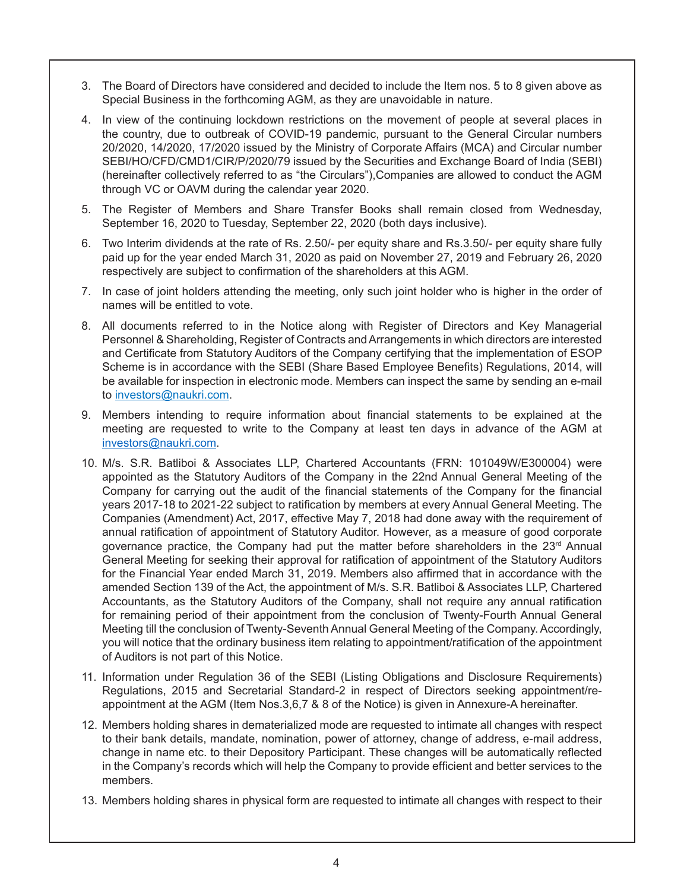- 3. The Board of Directors have considered and decided to include the Item nos. 5 to 8 given above as Special Business in the forthcoming AGM, as they are unavoidable in nature.
- 4. In view of the continuing lockdown restrictions on the movement of people at several places in the country, due to outbreak of COVID-19 pandemic, pursuant to the General Circular numbers 20/2020, 14/2020, 17/2020 issued by the Ministry of Corporate Affairs (MCA) and Circular number SEBI/HO/CFD/CMD1/CIR/P/2020/79 issued by the Securities and Exchange Board of India (SEBI) (hereinafter collectively referred to as "the Circulars"),Companies are allowed to conduct the AGM through VC or OAVM during the calendar year 2020.
- 5. The Register of Members and Share Transfer Books shall remain closed from Wednesday, September 16, 2020 to Tuesday, September 22, 2020 (both days inclusive).
- 6. Two Interim dividends at the rate of Rs. 2.50/- per equity share and Rs.3.50/- per equity share fully paid up for the year ended March 31, 2020 as paid on November 27, 2019 and February 26, 2020 respectively are subject to confirmation of the shareholders at this AGM.
- 7. In case of joint holders attending the meeting, only such joint holder who is higher in the order of names will be entitled to vote.
- 8. All documents referred to in the Notice along with Register of Directors and Key Managerial Personnel & Shareholding, Register of Contracts and Arrangements in which directors are interested and Certificate from Statutory Auditors of the Company certifying that the implementation of ESOP Scheme is in accordance with the SEBI (Share Based Employee Benefits) Regulations, 2014, will be available for inspection in electronic mode. Members can inspect the same by sending an e-mail to investors@naukri.com.
- 9. Members intending to require information about financial statements to be explained at the meeting are requested to write to the Company at least ten days in advance of the AGM at investors@naukri.com.
- 10. M/s. S.R. Batliboi & Associates LLP, Chartered Accountants (FRN: 101049W/E300004) were appointed as the Statutory Auditors of the Company in the 22nd Annual General Meeting of the Company for carrying out the audit of the financial statements of the Company for the financial years 2017-18 to 2021-22 subject to ratification by members at every Annual General Meeting. The Companies (Amendment) Act, 2017, effective May 7, 2018 had done away with the requirement of annual ratification of appointment of Statutory Auditor. However, as a measure of good corporate governance practice, the Company had put the matter before shareholders in the  $23<sup>rd</sup>$  Annual General Meeting for seeking their approval for ratification of appointment of the Statutory Auditors for the Financial Year ended March 31, 2019. Members also affirmed that in accordance with the amended Section 139 of the Act, the appointment of M/s. S.R. Batliboi & Associates LLP, Chartered Accountants, as the Statutory Auditors of the Company, shall not require any annual ratification for remaining period of their appointment from the conclusion of Twenty-Fourth Annual General Meeting till the conclusion of Twenty-Seventh Annual General Meeting of the Company. Accordingly, you will notice that the ordinary business item relating to appointment/ratification of the appointment of Auditors is not part of this Notice.
- 11. Information under Regulation 36 of the SEBI (Listing Obligations and Disclosure Requirements) Regulations, 2015 and Secretarial Standard-2 in respect of Directors seeking appointment/reappointment at the AGM (Item Nos.3,6,7 & 8 of the Notice) is given in Annexure-A hereinafter.
- 12. Members holding shares in dematerialized mode are requested to intimate all changes with respect to their bank details, mandate, nomination, power of attorney, change of address, e-mail address, change in name etc. to their Depository Participant. These changes will be automatically reflected in the Company's records which will help the Company to provide efficient and better services to the members.
- 13. Members holding shares in physical form are requested to intimate all changes with respect to their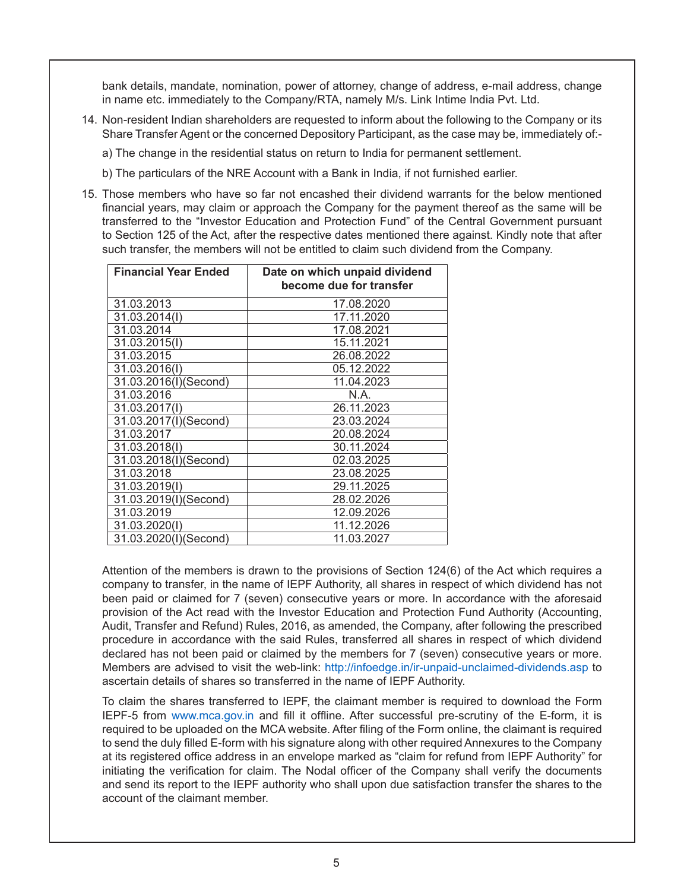bank details, mandate, nomination, power of attorney, change of address, e-mail address, change in name etc. immediately to the Company/RTA, namely M/s. Link Intime India Pvt. Ltd.

- 14. Non-resident Indian shareholders are requested to inform about the following to the Company or its Share Transfer Agent or the concerned Depository Participant, as the case may be, immediately of:
	- a) The change in the residential status on return to India for permanent settlement.
	- b) The particulars of the NRE Account with a Bank in India, if not furnished earlier.
- 15. Those members who have so far not encashed their dividend warrants for the below mentioned financial years, may claim or approach the Company for the payment thereof as the same will be transferred to the "Investor Education and Protection Fund" of the Central Government pursuant to Section 125 of the Act, after the respective dates mentioned there against. Kindly note that after such transfer, the members will not be entitled to claim such dividend from the Company.

| <b>Financial Year Ended</b> | Date on which unpaid dividend<br>become due for transfer |
|-----------------------------|----------------------------------------------------------|
| 31.03.2013                  | 17.08.2020                                               |
| 31.03.2014(I)               | 17.11.2020                                               |
| 31.03.2014                  | 17.08.2021                                               |
| 31.03.2015(I)               | 15.11.2021                                               |
| 31.03.2015                  | 26.08.2022                                               |
| 31.03.2016(I)               | 05.12.2022                                               |
| 31.03.2016(I)(Second)       | 11.04.2023                                               |
| 31.03.2016                  | N.A.                                                     |
| 31.03.2017(I)               | 26.11.2023                                               |
| 31.03.2017(I)(Second)       | 23.03.2024                                               |
| 31.03.2017                  | 20.08.2024                                               |
| 31.03.2018(I)               | 30.11.2024                                               |
| 31.03.2018(I)(Second)       | 02.03.2025                                               |
| 31.03.2018                  | 23.08.2025                                               |
| 31.03.2019(I)               | 29.11.2025                                               |
| 31.03.2019(I)(Second)       | 28.02.2026                                               |
| 31.03.2019                  | 12.09.2026                                               |
| 31.03.2020(I)               | 11.12.2026                                               |
| 31.03.2020(I)(Second)       | 11.03.2027                                               |

Attention of the members is drawn to the provisions of Section 124(6) of the Act which requires a company to transfer, in the name of IEPF Authority, all shares in respect of which dividend has not been paid or claimed for 7 (seven) consecutive years or more. In accordance with the aforesaid provision of the Act read with the Investor Education and Protection Fund Authority (Accounting, Audit, Transfer and Refund) Rules, 2016, as amended, the Company, after following the prescribed procedure in accordance with the said Rules, transferred all shares in respect of which dividend declared has not been paid or claimed by the members for 7 (seven) consecutive years or more. Members are advised to visit the web-link: http://infoedge.in/ir-unpaid-unclaimed-dividends.asp to ascertain details of shares so transferred in the name of IEPF Authority.

To claim the shares transferred to IEPF, the claimant member is required to download the Form IEPF-5 from www.mca.gov.in and fill it offline. After successful pre-scrutiny of the E-form, it is required to be uploaded on the MCA website. After filing of the Form online, the claimant is required to send the duly filled E-form with his signature along with other required Annexures to the Company at its registered office address in an envelope marked as "claim for refund from IEPF Authority" for initiating the verification for claim. The Nodal officer of the Company shall verify the documents and send its report to the IEPF authority who shall upon due satisfaction transfer the shares to the account of the claimant member.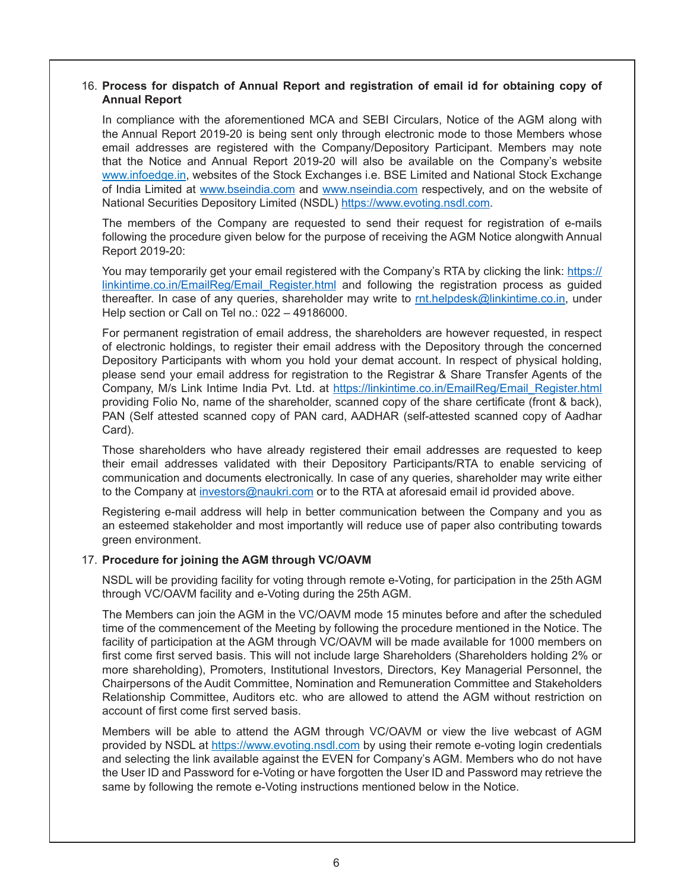# 16. **Process for dispatch of Annual Report and registration of email id for obtaining copy of Annual Report**

In compliance with the aforementioned MCA and SEBI Circulars, Notice of the AGM along with the Annual Report 2019-20 is being sent only through electronic mode to those Members whose email addresses are registered with the Company/Depository Participant. Members may note that the Notice and Annual Report 2019-20 will also be available on the Company's website www.infoedge.in, websites of the Stock Exchanges i.e. BSE Limited and National Stock Exchange of India Limited at www.bseindia.com and www.nseindia.com respectively, and on the website of National Securities Depository Limited (NSDL) https://www.evoting.nsdl.com.

The members of the Company are requested to send their request for registration of e-mails following the procedure given below for the purpose of receiving the AGM Notice alongwith Annual Report 2019-20:

You may temporarily get your email registered with the Company's RTA by clicking the link: https:// linkintime.co.in/EmailReg/Email\_Register.html and following the registration process as guided thereafter. In case of any queries, shareholder may write to  $rnt.$ helpdesk@linkintime.co.in, under Help section or Call on Tel no.: 022 – 49186000.

For permanent registration of email address, the shareholders are however requested, in respect of electronic holdings, to register their email address with the Depository through the concerned Depository Participants with whom you hold your demat account. In respect of physical holding, please send your email address for registration to the Registrar & Share Transfer Agents of the Company, M/s Link Intime India Pvt. Ltd. at https://linkintime.co.in/EmailReg/Email\_Register.html providing Folio No, name of the shareholder, scanned copy of the share certificate (front & back), PAN (Self attested scanned copy of PAN card, AADHAR (self-attested scanned copy of Aadhar Card).

Those shareholders who have already registered their email addresses are requested to keep their email addresses validated with their Depository Participants/RTA to enable servicing of communication and documents electronically. In case of any queries, shareholder may write either to the Company at investors@naukri.com or to the RTA at aforesaid email id provided above.

Registering e-mail address will help in better communication between the Company and you as an esteemed stakeholder and most importantly will reduce use of paper also contributing towards green environment.

### 17. **Procedure for joining the AGM through VC/OAVM**

NSDL will be providing facility for voting through remote e-Voting, for participation in the 25th AGM through VC/OAVM facility and e-Voting during the 25th AGM.

The Members can join the AGM in the VC/OAVM mode 15 minutes before and after the scheduled time of the commencement of the Meeting by following the procedure mentioned in the Notice. The facility of participation at the AGM through VC/OAVM will be made available for 1000 members on first come first served basis. This will not include large Shareholders (Shareholders holding 2% or more shareholding), Promoters, Institutional Investors, Directors, Key Managerial Personnel, the Chairpersons of the Audit Committee, Nomination and Remuneration Committee and Stakeholders Relationship Committee, Auditors etc. who are allowed to attend the AGM without restriction on account of first come first served basis.

Members will be able to attend the AGM through VC/OAVM or view the live webcast of AGM provided by NSDL at https://www.evoting.nsdl.com by using their remote e-voting login credentials and selecting the link available against the EVEN for Company's AGM. Members who do not have the User ID and Password for e-Voting or have forgotten the User ID and Password may retrieve the same by following the remote e-Voting instructions mentioned below in the Notice.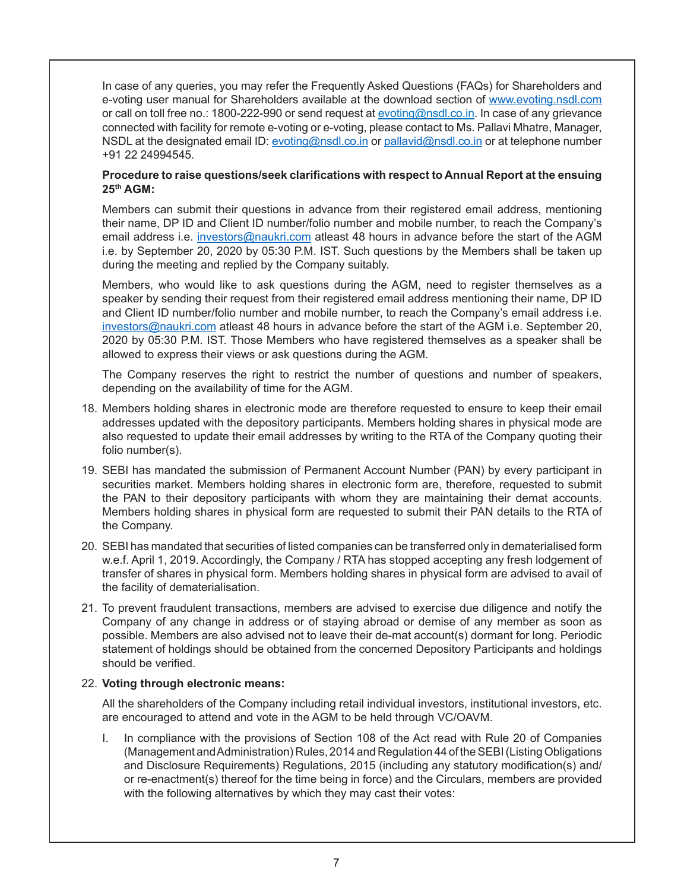In case of any queries, you may refer the Frequently Asked Questions (FAQs) for Shareholders and e-voting user manual for Shareholders available at the download section of www.evoting.nsdl.com or call on toll free no.: 1800-222-990 or send request at evoting@nsdl.co.in. In case of any grievance connected with facility for remote e-voting or e-voting, please contact to Ms. Pallavi Mhatre, Manager, NSDL at the designated email ID: evoting@nsdl.co.in or pallavid@nsdl.co.in or at telephone number +91 22 24994545.

### **Procedure to raise questions/seek clarifications with respect to Annual Report at the ensuing 25th AGM:**

Members can submit their questions in advance from their registered email address, mentioning their name, DP ID and Client ID number/folio number and mobile number, to reach the Company's email address i.e. investors@naukri.com atleast 48 hours in advance before the start of the AGM i.e. by September 20, 2020 by 05:30 P.M. IST. Such questions by the Members shall be taken up during the meeting and replied by the Company suitably.

Members, who would like to ask questions during the AGM, need to register themselves as a speaker by sending their request from their registered email address mentioning their name, DP ID and Client ID number/folio number and mobile number, to reach the Company's email address i.e. investors@naukri.com atleast 48 hours in advance before the start of the AGM i.e. September 20, 2020 by 05:30 P.M. IST. Those Members who have registered themselves as a speaker shall be allowed to express their views or ask questions during the AGM.

The Company reserves the right to restrict the number of questions and number of speakers, depending on the availability of time for the AGM.

- 18. Members holding shares in electronic mode are therefore requested to ensure to keep their email addresses updated with the depository participants. Members holding shares in physical mode are also requested to update their email addresses by writing to the RTA of the Company quoting their folio number(s).
- 19. SEBI has mandated the submission of Permanent Account Number (PAN) by every participant in securities market. Members holding shares in electronic form are, therefore, requested to submit the PAN to their depository participants with whom they are maintaining their demat accounts. Members holding shares in physical form are requested to submit their PAN details to the RTA of the Company.
- 20. SEBI has mandated that securities of listed companies can be transferred only in dematerialised form w.e.f. April 1, 2019. Accordingly, the Company / RTA has stopped accepting any fresh lodgement of transfer of shares in physical form. Members holding shares in physical form are advised to avail of the facility of dematerialisation.
- 21. To prevent fraudulent transactions, members are advised to exercise due diligence and notify the Company of any change in address or of staying abroad or demise of any member as soon as possible. Members are also advised not to leave their de-mat account(s) dormant for long. Periodic statement of holdings should be obtained from the concerned Depository Participants and holdings should be verified.

### 22. **Voting through electronic means:**

All the shareholders of the Company including retail individual investors, institutional investors, etc. are encouraged to attend and vote in the AGM to be held through VC/OAVM.

I. In compliance with the provisions of Section 108 of the Act read with Rule 20 of Companies (Management and Administration) Rules, 2014 and Regulation 44 of the SEBI (Listing Obligations and Disclosure Requirements) Regulations, 2015 (including any statutory modification(s) and/ or re-enactment(s) thereof for the time being in force) and the Circulars, members are provided with the following alternatives by which they may cast their votes: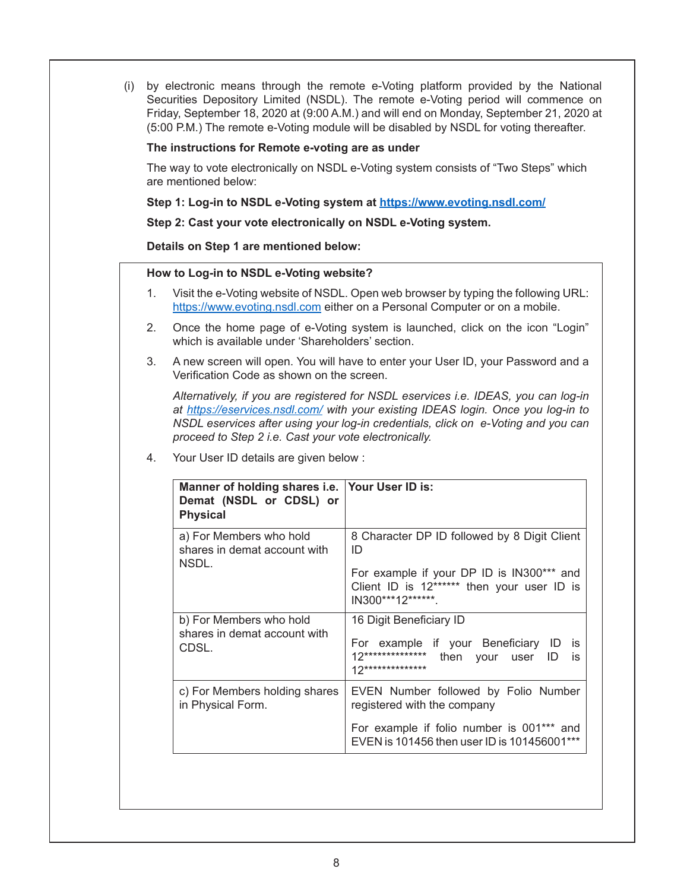(i) by electronic means through the remote e-Voting platform provided by the National Securities Depository Limited (NSDL). The remote e-Voting period will commence on Friday, September 18, 2020 at (9:00 A.M.) and will end on Monday, September 21, 2020 at (5:00 P.M.) The remote e-Voting module will be disabled by NSDL for voting thereafter.

#### **The instructions for Remote e-voting are as under**

The way to vote electronically on NSDL e-Voting system consists of "Two Steps" which are mentioned below:

**Step 1: Log-in to NSDL e-Voting system at https://www.evoting.nsdl.com/**

**Step 2: Cast your vote electronically on NSDL e-Voting system.**

**Details on Step 1 are mentioned below:**

#### **How to Log-in to NSDL e-Voting website?**

- 1. Visit the e-Voting website of NSDL. Open web browser by typing the following URL: https://www.evoting.nsdl.com either on a Personal Computer or on a mobile.
- 2. Once the home page of e-Voting system is launched, click on the icon "Login" which is available under 'Shareholders' section.
- 3. A new screen will open. You will have to enter your User ID, your Password and a Verification Code as shown on the screen.

 *Alternatively, if you are registered for NSDL eservices i.e. IDEAS, you can log-in at https://eservices.nsdl.com/ with your existing IDEAS login. Once you log-in to NSDL eservices after using your log-in credentials, click on e-Voting and you can proceed to Step 2 i.e. Cast your vote electronically.*

4. Your User ID details are given below :

| Manner of holding shares i.e. Your User ID is:<br>Demat (NSDL or CDSL) or<br><b>Physical</b> |                                                                                                                                                                     |
|----------------------------------------------------------------------------------------------|---------------------------------------------------------------------------------------------------------------------------------------------------------------------|
| a) For Members who hold<br>shares in demat account with<br>NSDL.                             | 8 Character DP ID followed by 8 Digit Client<br>ID<br>For example if your DP ID is IN300*** and<br>Client ID is 12****** then your user ID is<br>IN300***12*******. |
| b) For Members who hold<br>shares in demat account with<br>CDSL.                             | 16 Digit Beneficiary ID<br>For example if your Beneficiary ID<br>İS<br>$12*************$<br>then your user ID<br>is<br>12**************                             |
| c) For Members holding shares<br>in Physical Form.                                           | EVEN Number followed by Folio Number<br>registered with the company<br>For example if folio number is 001*** and<br>EVEN is 101456 then user ID is 101456001***     |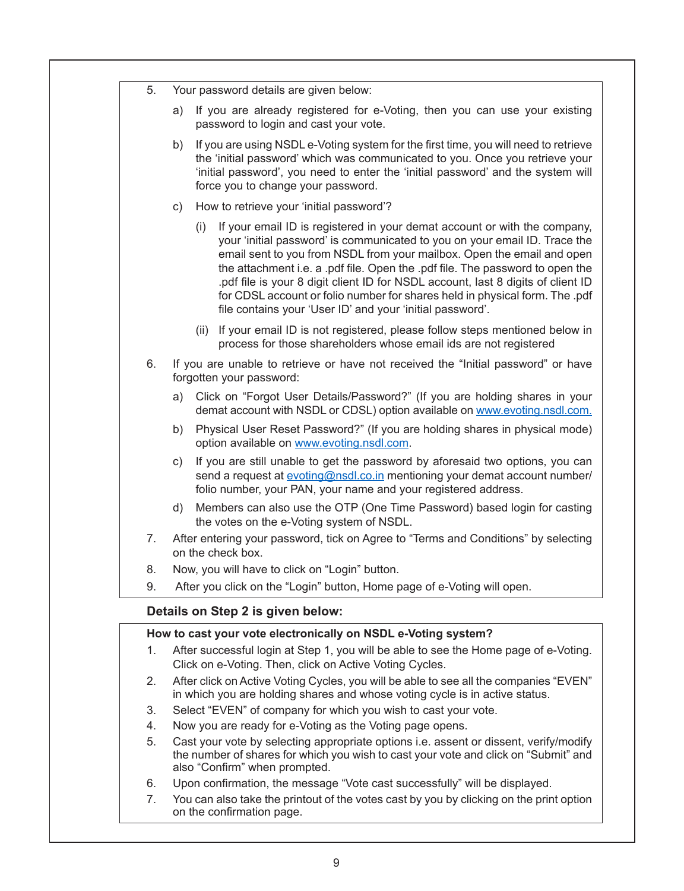| 5. |    | Your password details are given below:                                                                                                                                                                                                                                                                                                                                                                                                                                                                                                                    |  |
|----|----|-----------------------------------------------------------------------------------------------------------------------------------------------------------------------------------------------------------------------------------------------------------------------------------------------------------------------------------------------------------------------------------------------------------------------------------------------------------------------------------------------------------------------------------------------------------|--|
|    | a) | If you are already registered for e-Voting, then you can use your existing<br>password to login and cast your vote.                                                                                                                                                                                                                                                                                                                                                                                                                                       |  |
|    | b) | If you are using NSDL e-Voting system for the first time, you will need to retrieve<br>the 'initial password' which was communicated to you. Once you retrieve your<br>'initial password', you need to enter the 'initial password' and the system will<br>force you to change your password.                                                                                                                                                                                                                                                             |  |
|    | C) | How to retrieve your 'initial password'?                                                                                                                                                                                                                                                                                                                                                                                                                                                                                                                  |  |
|    |    | If your email ID is registered in your demat account or with the company,<br>(i)<br>your 'initial password' is communicated to you on your email ID. Trace the<br>email sent to you from NSDL from your mailbox. Open the email and open<br>the attachment i.e. a .pdf file. Open the .pdf file. The password to open the<br>.pdf file is your 8 digit client ID for NSDL account, last 8 digits of client ID<br>for CDSL account or folio number for shares held in physical form. The .pdf<br>file contains your 'User ID' and your 'initial password'. |  |
|    |    | If your email ID is not registered, please follow steps mentioned below in<br>(ii)<br>process for those shareholders whose email ids are not registered                                                                                                                                                                                                                                                                                                                                                                                                   |  |
| 6. |    | If you are unable to retrieve or have not received the "Initial password" or have<br>forgotten your password:                                                                                                                                                                                                                                                                                                                                                                                                                                             |  |
|    | a) | Click on "Forgot User Details/Password?" (If you are holding shares in your<br>demat account with NSDL or CDSL) option available on www.evoting.nsdl.com.                                                                                                                                                                                                                                                                                                                                                                                                 |  |
|    | b) | Physical User Reset Password?" (If you are holding shares in physical mode)<br>option available on www.evoting.nsdl.com.                                                                                                                                                                                                                                                                                                                                                                                                                                  |  |
|    | C) | If you are still unable to get the password by aforesaid two options, you can<br>send a request at evoting@nsdl.co.in mentioning your demat account number/<br>folio number, your PAN, your name and your registered address.                                                                                                                                                                                                                                                                                                                             |  |
|    | d) | Members can also use the OTP (One Time Password) based login for casting<br>the votes on the e-Voting system of NSDL.                                                                                                                                                                                                                                                                                                                                                                                                                                     |  |
| 7. |    | After entering your password, tick on Agree to "Terms and Conditions" by selecting<br>on the check box.                                                                                                                                                                                                                                                                                                                                                                                                                                                   |  |
| 8. |    | Now, you will have to click on "Login" button.                                                                                                                                                                                                                                                                                                                                                                                                                                                                                                            |  |
| 9. |    | After you click on the "Login" button, Home page of e-Voting will open.                                                                                                                                                                                                                                                                                                                                                                                                                                                                                   |  |
|    |    | Details on Step 2 is given below:                                                                                                                                                                                                                                                                                                                                                                                                                                                                                                                         |  |
|    |    | How to cast your vote electronically on NSDL e-Voting system?                                                                                                                                                                                                                                                                                                                                                                                                                                                                                             |  |
| 1. |    | After successful login at Step 1, you will be able to see the Home page of e-Voting.<br>Click on e-Voting. Then, click on Active Voting Cycles.                                                                                                                                                                                                                                                                                                                                                                                                           |  |
| 2. |    | After click on Active Voting Cycles, you will be able to see all the companies "EVEN"<br>in which you are holding shares and whose voting cycle is in active status.                                                                                                                                                                                                                                                                                                                                                                                      |  |
| 3. |    | Select "EVEN" of company for which you wish to cast your vote.                                                                                                                                                                                                                                                                                                                                                                                                                                                                                            |  |
| 4. |    | Now you are ready for e-Voting as the Voting page opens.                                                                                                                                                                                                                                                                                                                                                                                                                                                                                                  |  |
| 5. |    | Cast your vote by selecting appropriate options i.e. assent or dissent, verify/modify<br>the number of shares for which you wish to cast your vote and click on "Submit" and<br>also "Confirm" when prompted.                                                                                                                                                                                                                                                                                                                                             |  |
| 6. |    | Upon confirmation, the message "Vote cast successfully" will be displayed.                                                                                                                                                                                                                                                                                                                                                                                                                                                                                |  |
| 7  |    | You can also take the printout of the votes cast by you by clicking on the print option                                                                                                                                                                                                                                                                                                                                                                                                                                                                   |  |

 7. You can also take the printout of the votes cast by you by clicking on the print option on the confirmation page.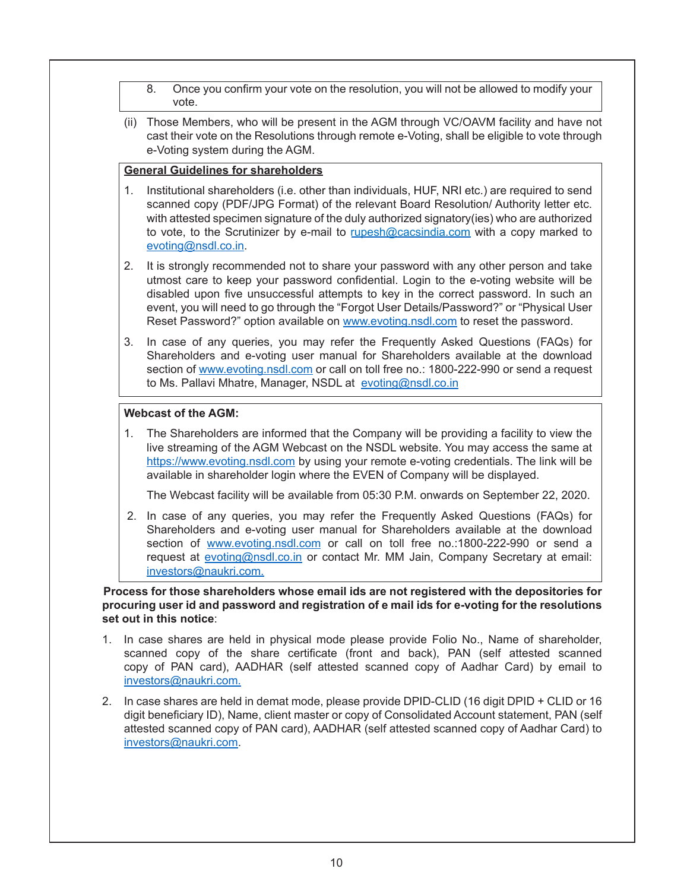- 8. Once you confirm your vote on the resolution, you will not be allowed to modify your vote.
- (ii) Those Members, who will be present in the AGM through VC/OAVM facility and have not cast their vote on the Resolutions through remote e-Voting, shall be eligible to vote through e-Voting system during the AGM.

# **General Guidelines for shareholders**

- 1. Institutional shareholders (i.e. other than individuals, HUF, NRI etc.) are required to send scanned copy (PDF/JPG Format) of the relevant Board Resolution/ Authority letter etc. with attested specimen signature of the duly authorized signatory(ies) who are authorized to vote, to the Scrutinizer by e-mail to rupesh@cacsindia.com with a copy marked to evoting@nsdl.co.in.
- 2. It is strongly recommended not to share your password with any other person and take utmost care to keep your password confidential. Login to the e-voting website will be disabled upon five unsuccessful attempts to key in the correct password. In such an event, you will need to go through the "Forgot User Details/Password?" or "Physical User Reset Password?" option available on www.evoting.nsdl.com to reset the password.
- 3. In case of any queries, you may refer the Frequently Asked Questions (FAQs) for Shareholders and e-voting user manual for Shareholders available at the download section of www.evoting.nsdl.com or call on toll free no.: 1800-222-990 or send a request to Ms. Pallavi Mhatre, Manager, NSDL at evoting@nsdl.co.in

# **Webcast of the AGM:**

 1. The Shareholders are informed that the Company will be providing a facility to view the live streaming of the AGM Webcast on the NSDL website. You may access the same at https://www.evoting.nsdl.com by using your remote e-voting credentials. The link will be available in shareholder login where the EVEN of Company will be displayed.

The Webcast facility will be available from 05:30 P.M. onwards on September 22, 2020.

 2. In case of any queries, you may refer the Frequently Asked Questions (FAQs) for Shareholders and e-voting user manual for Shareholders available at the download section of www.evoting.nsdl.com or call on toll free no.:1800-222-990 or send a request at evoting@nsdl.co.in or contact Mr. MM Jain, Company Secretary at email: investors@naukri.com.

**Process for those shareholders whose email ids are not registered with the depositories for procuring user id and password and registration of e mail ids for e-voting for the resolutions set out in this notice**:

- 1. In case shares are held in physical mode please provide Folio No., Name of shareholder, scanned copy of the share certificate (front and back), PAN (self attested scanned copy of PAN card), AADHAR (self attested scanned copy of Aadhar Card) by email to investors@naukri.com.
- 2. In case shares are held in demat mode, please provide DPID-CLID (16 digit DPID + CLID or 16 digit beneficiary ID), Name, client master or copy of Consolidated Account statement, PAN (self attested scanned copy of PAN card), AADHAR (self attested scanned copy of Aadhar Card) to investors@naukri.com.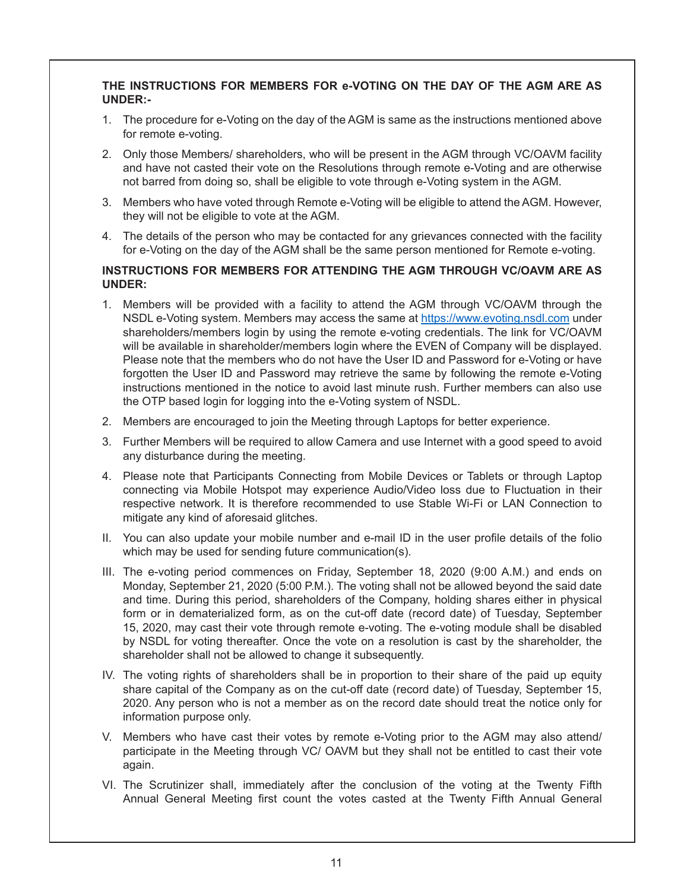# **THE INSTRUCTIONS FOR MEMBERS FOR e-VOTING ON THE DAY OF THE AGM ARE AS UNDER:-**

- 1. The procedure for e-Voting on the day of the AGM is same as the instructions mentioned above for remote e-voting.
- 2. Only those Members/ shareholders, who will be present in the AGM through VC/OAVM facility and have not casted their vote on the Resolutions through remote e-Voting and are otherwise not barred from doing so, shall be eligible to vote through e-Voting system in the AGM.
- 3. Members who have voted through Remote e-Voting will be eligible to attend the AGM. However, they will not be eligible to vote at the AGM.
- 4. The details of the person who may be contacted for any grievances connected with the facility for e-Voting on the day of the AGM shall be the same person mentioned for Remote e-voting.

### **INSTRUCTIONS FOR MEMBERS FOR ATTENDING THE AGM THROUGH VC/OAVM ARE AS UNDER:**

- 1. Members will be provided with a facility to attend the AGM through VC/OAVM through the NSDL e-Voting system. Members may access the same at https://www.evoting.nsdl.com under shareholders/members login by using the remote e-voting credentials. The link for VC/OAVM will be available in shareholder/members login where the EVEN of Company will be displayed. Please note that the members who do not have the User ID and Password for e-Voting or have forgotten the User ID and Password may retrieve the same by following the remote e-Voting instructions mentioned in the notice to avoid last minute rush. Further members can also use the OTP based login for logging into the e-Voting system of NSDL.
- 2. Members are encouraged to join the Meeting through Laptops for better experience.
- 3. Further Members will be required to allow Camera and use Internet with a good speed to avoid any disturbance during the meeting.
- 4. Please note that Participants Connecting from Mobile Devices or Tablets or through Laptop connecting via Mobile Hotspot may experience Audio/Video loss due to Fluctuation in their respective network. It is therefore recommended to use Stable Wi-Fi or LAN Connection to mitigate any kind of aforesaid glitches.
- II. You can also update your mobile number and e-mail ID in the user profile details of the folio which may be used for sending future communication(s).
- III. The e-voting period commences on Friday, September 18, 2020 (9:00 A.M.) and ends on Monday, September 21, 2020 (5:00 P.M.). The voting shall not be allowed beyond the said date and time. During this period, shareholders of the Company, holding shares either in physical form or in dematerialized form, as on the cut-off date (record date) of Tuesday, September 15, 2020, may cast their vote through remote e-voting. The e-voting module shall be disabled by NSDL for voting thereafter. Once the vote on a resolution is cast by the shareholder, the shareholder shall not be allowed to change it subsequently.
- IV. The voting rights of shareholders shall be in proportion to their share of the paid up equity share capital of the Company as on the cut-off date (record date) of Tuesday, September 15, 2020. Any person who is not a member as on the record date should treat the notice only for information purpose only.
- V. Members who have cast their votes by remote e-Voting prior to the AGM may also attend/ participate in the Meeting through VC/ OAVM but they shall not be entitled to cast their vote again.
- VI. The Scrutinizer shall, immediately after the conclusion of the voting at the Twenty Fifth Annual General Meeting first count the votes casted at the Twenty Fifth Annual General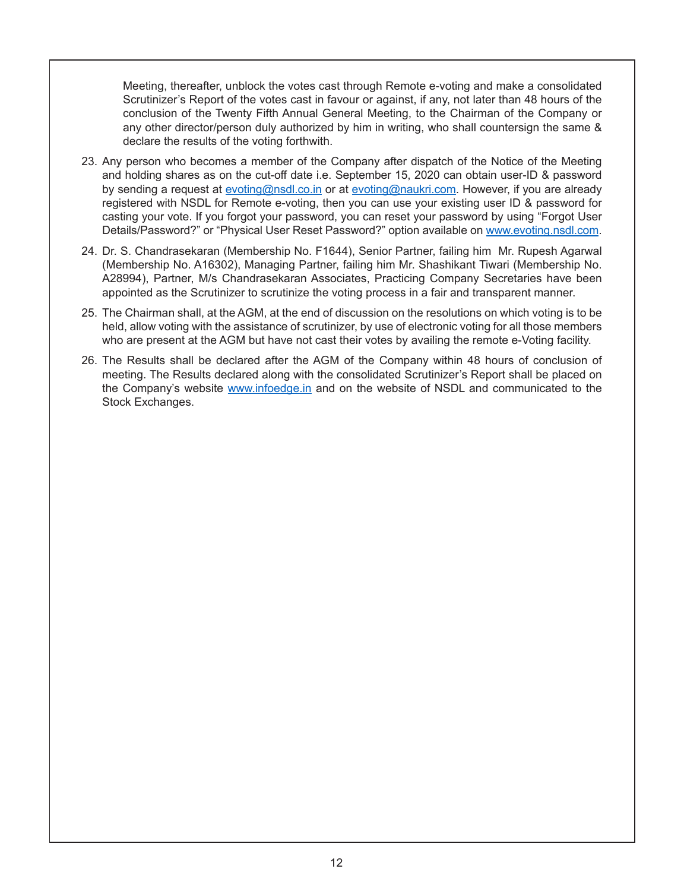Meeting, thereafter, unblock the votes cast through Remote e-voting and make a consolidated Scrutinizer's Report of the votes cast in favour or against, if any, not later than 48 hours of the conclusion of the Twenty Fifth Annual General Meeting, to the Chairman of the Company or any other director/person duly authorized by him in writing, who shall countersign the same & declare the results of the voting forthwith.

- 23. Any person who becomes a member of the Company after dispatch of the Notice of the Meeting and holding shares as on the cut-off date i.e. September 15, 2020 can obtain user-ID & password by sending a request at evoting@nsdl.co.in or at evoting@naukri.com. However, if you are already registered with NSDL for Remote e-voting, then you can use your existing user ID & password for casting your vote. If you forgot your password, you can reset your password by using "Forgot User Details/Password?" or "Physical User Reset Password?" option available on www.evoting.nsdl.com.
- 24. Dr. S. Chandrasekaran (Membership No. F1644), Senior Partner, failing him Mr. Rupesh Agarwal (Membership No. A16302), Managing Partner, failing him Mr. Shashikant Tiwari (Membership No. A28994), Partner, M/s Chandrasekaran Associates, Practicing Company Secretaries have been appointed as the Scrutinizer to scrutinize the voting process in a fair and transparent manner.
- 25. The Chairman shall, at the AGM, at the end of discussion on the resolutions on which voting is to be held, allow voting with the assistance of scrutinizer, by use of electronic voting for all those members who are present at the AGM but have not cast their votes by availing the remote e-Voting facility.
- 26. The Results shall be declared after the AGM of the Company within 48 hours of conclusion of meeting. The Results declared along with the consolidated Scrutinizer's Report shall be placed on the Company's website www.infoedge.in and on the website of NSDL and communicated to the Stock Exchanges.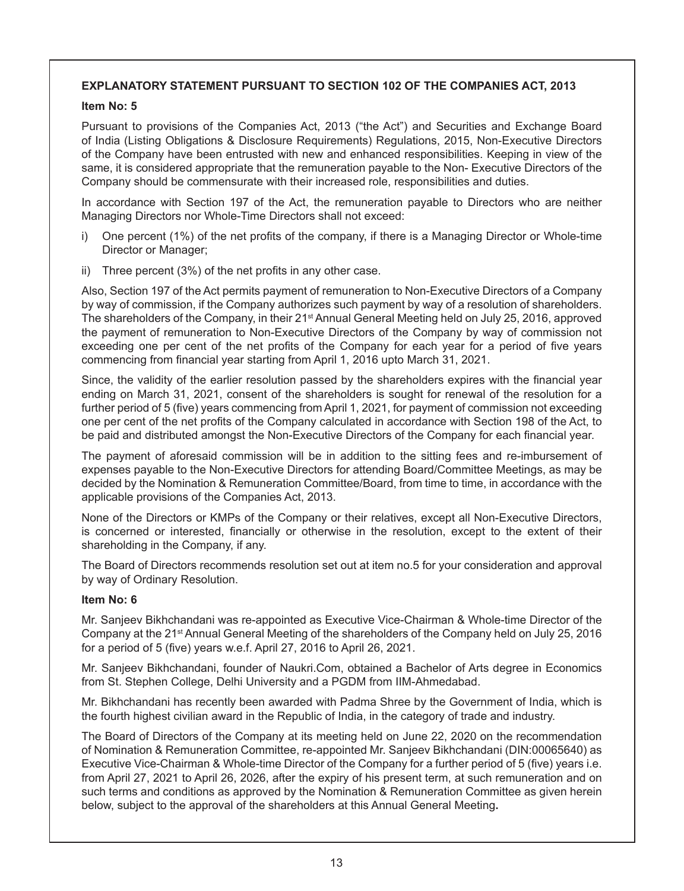# **EXPLANATORY STATEMENT PURSUANT TO SECTION 102 OF THE COMPANIES ACT, 2013**

#### **Item No: 5**

Pursuant to provisions of the Companies Act, 2013 ("the Act") and Securities and Exchange Board of India (Listing Obligations & Disclosure Requirements) Regulations, 2015, Non-Executive Directors of the Company have been entrusted with new and enhanced responsibilities. Keeping in view of the same, it is considered appropriate that the remuneration payable to the Non- Executive Directors of the Company should be commensurate with their increased role, responsibilities and duties.

In accordance with Section 197 of the Act, the remuneration payable to Directors who are neither Managing Directors nor Whole-Time Directors shall not exceed:

- i) One percent (1%) of the net profits of the company, if there is a Managing Director or Whole-time Director or Manager;
- ii) Three percent (3%) of the net profits in any other case.

Also, Section 197 of the Act permits payment of remuneration to Non-Executive Directors of a Company by way of commission, if the Company authorizes such payment by way of a resolution of shareholders. The shareholders of the Company, in their 21<sup>st</sup> Annual General Meeting held on July 25, 2016, approved the payment of remuneration to Non-Executive Directors of the Company by way of commission not exceeding one per cent of the net profits of the Company for each year for a period of five years commencing from financial year starting from April 1, 2016 upto March 31, 2021.

Since, the validity of the earlier resolution passed by the shareholders expires with the financial year ending on March 31, 2021, consent of the shareholders is sought for renewal of the resolution for a further period of 5 (five) years commencing from April 1, 2021, for payment of commission not exceeding one per cent of the net profits of the Company calculated in accordance with Section 198 of the Act, to be paid and distributed amongst the Non-Executive Directors of the Company for each financial year.

The payment of aforesaid commission will be in addition to the sitting fees and re-imbursement of expenses payable to the Non-Executive Directors for attending Board/Committee Meetings, as may be decided by the Nomination & Remuneration Committee/Board, from time to time, in accordance with the applicable provisions of the Companies Act, 2013.

None of the Directors or KMPs of the Company or their relatives, except all Non-Executive Directors, is concerned or interested, financially or otherwise in the resolution, except to the extent of their shareholding in the Company, if any.

The Board of Directors recommends resolution set out at item no.5 for your consideration and approval by way of Ordinary Resolution.

### **Item No: 6**

Mr. Sanjeev Bikhchandani was re-appointed as Executive Vice-Chairman & Whole-time Director of the Company at the 21st Annual General Meeting of the shareholders of the Company held on July 25, 2016 for a period of 5 (five) years w.e.f. April 27, 2016 to April 26, 2021.

Mr. Sanjeev Bikhchandani, founder of Naukri.Com, obtained a Bachelor of Arts degree in Economics from St. Stephen College, Delhi University and a PGDM from IIM-Ahmedabad.

Mr. Bikhchandani has recently been awarded with Padma Shree by the Government of India, which is the fourth highest civilian award in the Republic of India, in the category of trade and industry.

The Board of Directors of the Company at its meeting held on June 22, 2020 on the recommendation of Nomination & Remuneration Committee, re-appointed Mr. Sanjeev Bikhchandani (DIN:00065640) as Executive Vice-Chairman & Whole-time Director of the Company for a further period of 5 (five) years i.e. from April 27, 2021 to April 26, 2026, after the expiry of his present term, at such remuneration and on such terms and conditions as approved by the Nomination & Remuneration Committee as given herein below, subject to the approval of the shareholders at this Annual General Meeting**.**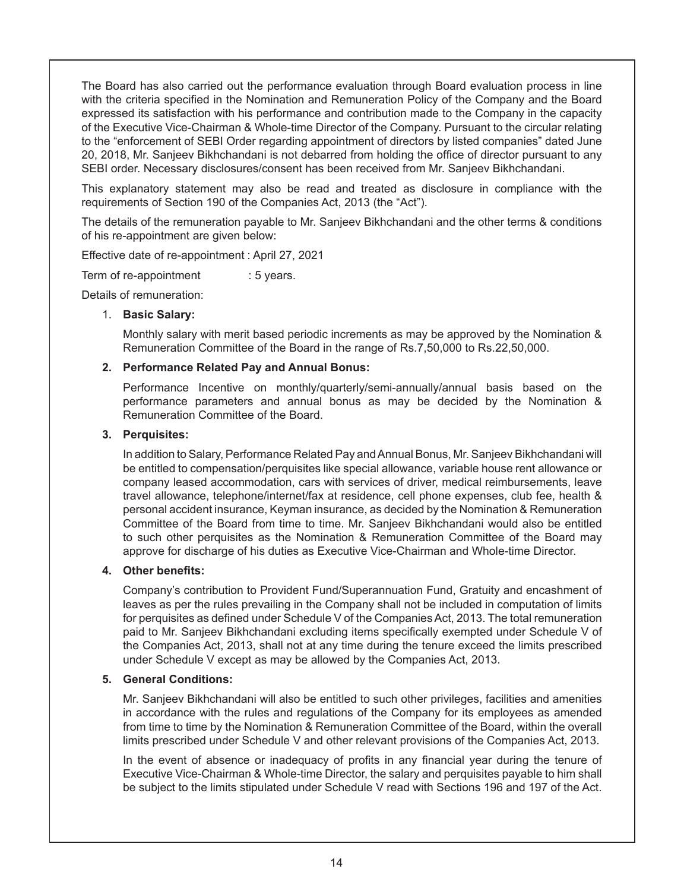The Board has also carried out the performance evaluation through Board evaluation process in line with the criteria specified in the Nomination and Remuneration Policy of the Company and the Board expressed its satisfaction with his performance and contribution made to the Company in the capacity of the Executive Vice-Chairman & Whole-time Director of the Company. Pursuant to the circular relating to the "enforcement of SEBI Order regarding appointment of directors by listed companies" dated June 20, 2018, Mr. Sanjeev Bikhchandani is not debarred from holding the office of director pursuant to any SEBI order. Necessary disclosures/consent has been received from Mr. Sanjeev Bikhchandani.

This explanatory statement may also be read and treated as disclosure in compliance with the requirements of Section 190 of the Companies Act, 2013 (the "Act").

The details of the remuneration payable to Mr. Sanjeev Bikhchandani and the other terms & conditions of his re-appointment are given below:

Effective date of re-appointment : April 27, 2021

Term of re-appointment : 5 years.

Details of remuneration:

### 1. **Basic Salary:**

Monthly salary with merit based periodic increments as may be approved by the Nomination & Remuneration Committee of the Board in the range of Rs.7,50,000 to Rs.22,50,000.

#### **2. Performance Related Pay and Annual Bonus:**

Performance Incentive on monthly/quarterly/semi-annually/annual basis based on the performance parameters and annual bonus as may be decided by the Nomination & Remuneration Committee of the Board.

#### **3. Perquisites:**

In addition to Salary, Performance Related Pay and Annual Bonus, Mr. Sanjeev Bikhchandani will be entitled to compensation/perquisites like special allowance, variable house rent allowance or company leased accommodation, cars with services of driver, medical reimbursements, leave travel allowance, telephone/internet/fax at residence, cell phone expenses, club fee, health & personal accident insurance, Keyman insurance, as decided by the Nomination & Remuneration Committee of the Board from time to time. Mr. Sanjeev Bikhchandani would also be entitled to such other perquisites as the Nomination & Remuneration Committee of the Board may approve for discharge of his duties as Executive Vice-Chairman and Whole-time Director.

### **4. Other benefits:**

 Company's contribution to Provident Fund/Superannuation Fund, Gratuity and encashment of leaves as per the rules prevailing in the Company shall not be included in computation of limits for perquisites as defined under Schedule V of the Companies Act, 2013. The total remuneration paid to Mr. Sanjeev Bikhchandani excluding items specifically exempted under Schedule V of the Companies Act, 2013, shall not at any time during the tenure exceed the limits prescribed under Schedule V except as may be allowed by the Companies Act, 2013.

#### **5. General Conditions:**

 Mr. Sanjeev Bikhchandani will also be entitled to such other privileges, facilities and amenities in accordance with the rules and regulations of the Company for its employees as amended from time to time by the Nomination & Remuneration Committee of the Board, within the overall limits prescribed under Schedule V and other relevant provisions of the Companies Act, 2013.

In the event of absence or inadequacy of profits in any financial year during the tenure of Executive Vice-Chairman & Whole-time Director, the salary and perquisites payable to him shall be subject to the limits stipulated under Schedule V read with Sections 196 and 197 of the Act.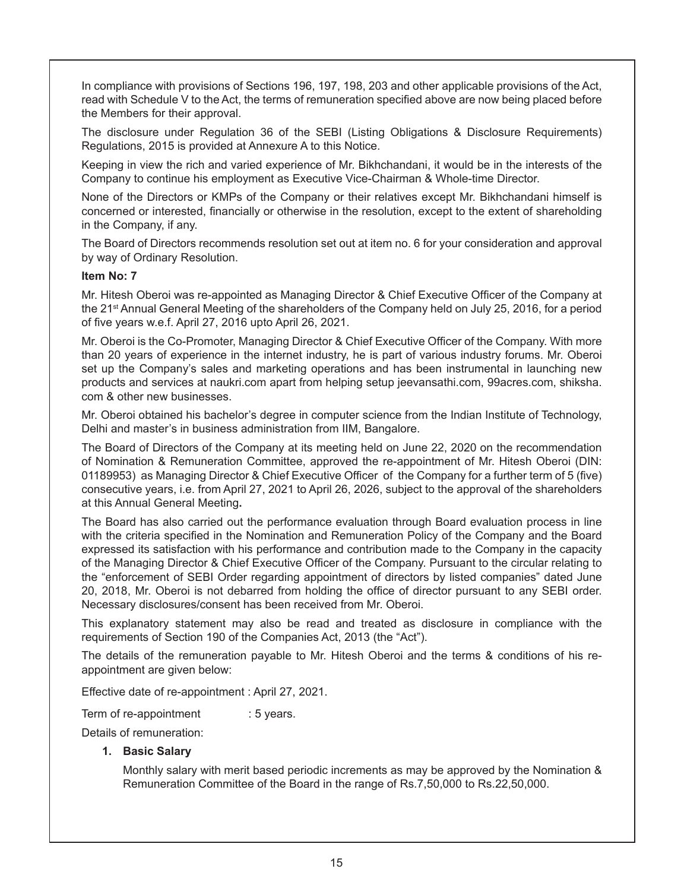In compliance with provisions of Sections 196, 197, 198, 203 and other applicable provisions of the Act, read with Schedule V to the Act, the terms of remuneration specified above are now being placed before the Members for their approval.

The disclosure under Regulation 36 of the SEBI (Listing Obligations & Disclosure Requirements) Regulations, 2015 is provided at Annexure A to this Notice.

Keeping in view the rich and varied experience of Mr. Bikhchandani, it would be in the interests of the Company to continue his employment as Executive Vice-Chairman & Whole-time Director.

None of the Directors or KMPs of the Company or their relatives except Mr. Bikhchandani himself is concerned or interested, financially or otherwise in the resolution, except to the extent of shareholding in the Company, if any.

The Board of Directors recommends resolution set out at item no. 6 for your consideration and approval by way of Ordinary Resolution.

#### **Item No: 7**

Mr. Hitesh Oberoi was re-appointed as Managing Director & Chief Executive Officer of the Company at the 21st Annual General Meeting of the shareholders of the Company held on July 25, 2016, for a period of five years w.e.f. April 27, 2016 upto April 26, 2021.

Mr. Oberoi is the Co-Promoter, Managing Director & Chief Executive Officer of the Company. With more than 20 years of experience in the internet industry, he is part of various industry forums. Mr. Oberoi set up the Company's sales and marketing operations and has been instrumental in launching new products and services at naukri.com apart from helping setup jeevansathi.com, 99acres.com, shiksha. com & other new businesses.

Mr. Oberoi obtained his bachelor's degree in computer science from the Indian Institute of Technology, Delhi and master's in business administration from IIM, Bangalore.

The Board of Directors of the Company at its meeting held on June 22, 2020 on the recommendation of Nomination & Remuneration Committee, approved the re-appointment of Mr. Hitesh Oberoi (DIN: 01189953) as Managing Director & Chief Executive Officer of the Company for a further term of 5 (five) consecutive years, i.e. from April 27, 2021 to April 26, 2026, subject to the approval of the shareholders at this Annual General Meeting**.**

The Board has also carried out the performance evaluation through Board evaluation process in line with the criteria specified in the Nomination and Remuneration Policy of the Company and the Board expressed its satisfaction with his performance and contribution made to the Company in the capacity of the Managing Director & Chief Executive Officer of the Company. Pursuant to the circular relating to the "enforcement of SEBI Order regarding appointment of directors by listed companies" dated June 20, 2018, Mr. Oberoi is not debarred from holding the office of director pursuant to any SEBI order. Necessary disclosures/consent has been received from Mr. Oberoi.

This explanatory statement may also be read and treated as disclosure in compliance with the requirements of Section 190 of the Companies Act, 2013 (the "Act").

The details of the remuneration payable to Mr. Hitesh Oberoi and the terms & conditions of his reappointment are given below:

Effective date of re-appointment : April 27, 2021.

Term of re-appointment : 5 years.

Details of remuneration:

#### **1. Basic Salary**

Monthly salary with merit based periodic increments as may be approved by the Nomination & Remuneration Committee of the Board in the range of Rs.7,50,000 to Rs.22,50,000.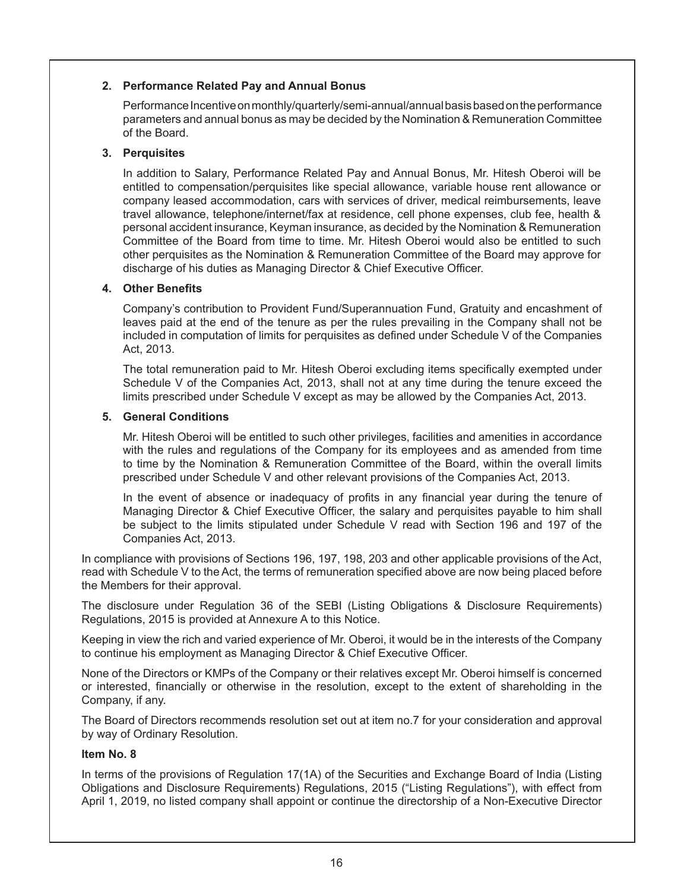# **2. Performance Related Pay and Annual Bonus**

Performance Incentive on monthly/quarterly/semi-annual/annual basis based on the performance parameters and annual bonus as may be decided by the Nomination & Remuneration Committee of the Board.

# **3. Perquisites**

 In addition to Salary, Performance Related Pay and Annual Bonus, Mr. Hitesh Oberoi will be entitled to compensation/perquisites like special allowance, variable house rent allowance or company leased accommodation, cars with services of driver, medical reimbursements, leave travel allowance, telephone/internet/fax at residence, cell phone expenses, club fee, health & personal accident insurance, Keyman insurance, as decided by the Nomination & Remuneration Committee of the Board from time to time. Mr. Hitesh Oberoi would also be entitled to such other perquisites as the Nomination & Remuneration Committee of the Board may approve for discharge of his duties as Managing Director & Chief Executive Officer.

# **4. Other Benefits**

 Company's contribution to Provident Fund/Superannuation Fund, Gratuity and encashment of leaves paid at the end of the tenure as per the rules prevailing in the Company shall not be included in computation of limits for perquisites as defined under Schedule V of the Companies Act, 2013.

The total remuneration paid to Mr. Hitesh Oberoi excluding items specifically exempted under Schedule V of the Companies Act, 2013, shall not at any time during the tenure exceed the limits prescribed under Schedule V except as may be allowed by the Companies Act, 2013.

# **5. General Conditions**

 Mr. Hitesh Oberoi will be entitled to such other privileges, facilities and amenities in accordance with the rules and regulations of the Company for its employees and as amended from time to time by the Nomination & Remuneration Committee of the Board, within the overall limits prescribed under Schedule V and other relevant provisions of the Companies Act, 2013.

In the event of absence or inadequacy of profits in any financial year during the tenure of Managing Director & Chief Executive Officer, the salary and perquisites payable to him shall be subject to the limits stipulated under Schedule V read with Section 196 and 197 of the Companies Act, 2013.

In compliance with provisions of Sections 196, 197, 198, 203 and other applicable provisions of the Act, read with Schedule V to the Act, the terms of remuneration specified above are now being placed before the Members for their approval.

The disclosure under Regulation 36 of the SEBI (Listing Obligations & Disclosure Requirements) Regulations, 2015 is provided at Annexure A to this Notice.

Keeping in view the rich and varied experience of Mr. Oberoi, it would be in the interests of the Company to continue his employment as Managing Director & Chief Executive Officer.

None of the Directors or KMPs of the Company or their relatives except Mr. Oberoi himself is concerned or interested, financially or otherwise in the resolution, except to the extent of shareholding in the Company, if any.

The Board of Directors recommends resolution set out at item no.7 for your consideration and approval by way of Ordinary Resolution.

### **Item No. 8**

In terms of the provisions of Regulation 17(1A) of the Securities and Exchange Board of India (Listing Obligations and Disclosure Requirements) Regulations, 2015 ("Listing Regulations"), with effect from April 1, 2019, no listed company shall appoint or continue the directorship of a Non-Executive Director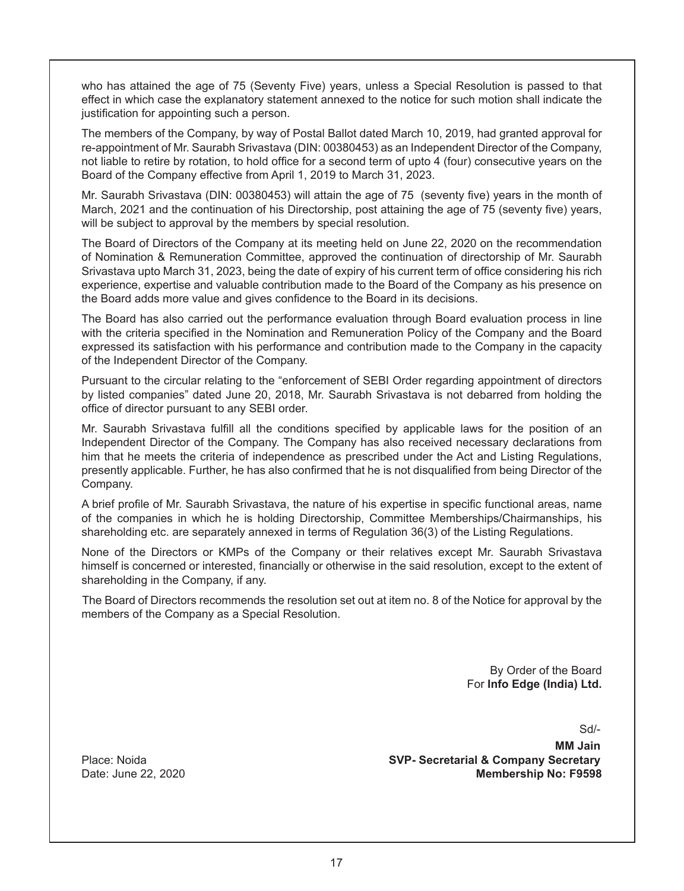who has attained the age of 75 (Seventy Five) years, unless a Special Resolution is passed to that effect in which case the explanatory statement annexed to the notice for such motion shall indicate the justification for appointing such a person.

The members of the Company, by way of Postal Ballot dated March 10, 2019, had granted approval for re-appointment of Mr. Saurabh Srivastava (DIN: 00380453) as an Independent Director of the Company, not liable to retire by rotation, to hold office for a second term of upto 4 (four) consecutive years on the Board of the Company effective from April 1, 2019 to March 31, 2023.

Mr. Saurabh Srivastava (DIN: 00380453) will attain the age of 75 (seventy five) years in the month of March, 2021 and the continuation of his Directorship, post attaining the age of 75 (seventy five) years, will be subject to approval by the members by special resolution.

The Board of Directors of the Company at its meeting held on June 22, 2020 on the recommendation of Nomination & Remuneration Committee, approved the continuation of directorship of Mr. Saurabh Srivastava upto March 31, 2023, being the date of expiry of his current term of office considering his rich experience, expertise and valuable contribution made to the Board of the Company as his presence on the Board adds more value and gives confidence to the Board in its decisions.

The Board has also carried out the performance evaluation through Board evaluation process in line with the criteria specified in the Nomination and Remuneration Policy of the Company and the Board expressed its satisfaction with his performance and contribution made to the Company in the capacity of the Independent Director of the Company.

Pursuant to the circular relating to the "enforcement of SEBI Order regarding appointment of directors by listed companies" dated June 20, 2018, Mr. Saurabh Srivastava is not debarred from holding the office of director pursuant to any SEBI order.

Mr. Saurabh Srivastava fulfill all the conditions specified by applicable laws for the position of an Independent Director of the Company. The Company has also received necessary declarations from him that he meets the criteria of independence as prescribed under the Act and Listing Regulations, presently applicable. Further, he has also confirmed that he is not disqualified from being Director of the Company.

A brief profile of Mr. Saurabh Srivastava, the nature of his expertise in specific functional areas, name of the companies in which he is holding Directorship, Committee Memberships/Chairmanships, his shareholding etc. are separately annexed in terms of Regulation 36(3) of the Listing Regulations.

None of the Directors or KMPs of the Company or their relatives except Mr. Saurabh Srivastava himself is concerned or interested, financially or otherwise in the said resolution, except to the extent of shareholding in the Company, if any.

The Board of Directors recommends the resolution set out at item no. 8 of the Notice for approval by the members of the Company as a Special Resolution.

> By Order of the Board For **Info Edge (India) Ltd.**

> > Sd/-

**MM Jain** Place: Noida **SVP- Secretarial & Company Secretary** Date: June 22, 2020 **Membership No: F9598**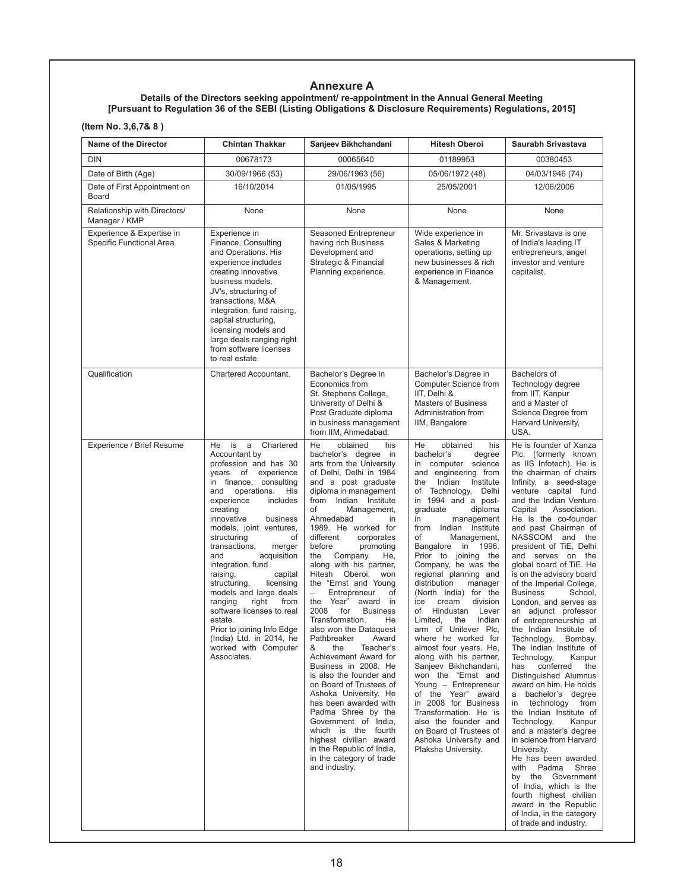# **Annexure A**

#### **Details of the Directors seeking appointment/ re-appointment in the Annual General Meeting [Pursuant to Regulation 36 of the SEBI (Listing Obligations & Disclosure Requirements) Regulations, 2015]**

**(Item No. 3,6,7& 8 )**

| <b>Name of the Director</b>                           | <b>Chintan Thakkar</b>                                                                                                                                                                                                                                                                                                                                                                                                                                                                                                                                                                      | Sanjeev Bikhchandani                                                                                                                                                                                                                                                                                                                                                                                                                                                                                                                                                                                                                                                                                                                                                                                                                                                                                                                                       | <b>Hitesh Oberoi</b>                                                                                                                                                                                                                                                                                                                                                                                                                                                                                                                                                                                                                                                                                                                                                                                                                                                       | Saurabh Srivastava                                                                                                                                                                                                                                                                                                                                                                                                                                                                                                                                                                                                                                                                                                                                                                                                                                                                                                                                                                                                                                                                        |
|-------------------------------------------------------|---------------------------------------------------------------------------------------------------------------------------------------------------------------------------------------------------------------------------------------------------------------------------------------------------------------------------------------------------------------------------------------------------------------------------------------------------------------------------------------------------------------------------------------------------------------------------------------------|------------------------------------------------------------------------------------------------------------------------------------------------------------------------------------------------------------------------------------------------------------------------------------------------------------------------------------------------------------------------------------------------------------------------------------------------------------------------------------------------------------------------------------------------------------------------------------------------------------------------------------------------------------------------------------------------------------------------------------------------------------------------------------------------------------------------------------------------------------------------------------------------------------------------------------------------------------|----------------------------------------------------------------------------------------------------------------------------------------------------------------------------------------------------------------------------------------------------------------------------------------------------------------------------------------------------------------------------------------------------------------------------------------------------------------------------------------------------------------------------------------------------------------------------------------------------------------------------------------------------------------------------------------------------------------------------------------------------------------------------------------------------------------------------------------------------------------------------|-------------------------------------------------------------------------------------------------------------------------------------------------------------------------------------------------------------------------------------------------------------------------------------------------------------------------------------------------------------------------------------------------------------------------------------------------------------------------------------------------------------------------------------------------------------------------------------------------------------------------------------------------------------------------------------------------------------------------------------------------------------------------------------------------------------------------------------------------------------------------------------------------------------------------------------------------------------------------------------------------------------------------------------------------------------------------------------------|
| <b>DIN</b>                                            | 00678173                                                                                                                                                                                                                                                                                                                                                                                                                                                                                                                                                                                    | 00065640                                                                                                                                                                                                                                                                                                                                                                                                                                                                                                                                                                                                                                                                                                                                                                                                                                                                                                                                                   | 01189953                                                                                                                                                                                                                                                                                                                                                                                                                                                                                                                                                                                                                                                                                                                                                                                                                                                                   | 00380453                                                                                                                                                                                                                                                                                                                                                                                                                                                                                                                                                                                                                                                                                                                                                                                                                                                                                                                                                                                                                                                                                  |
| Date of Birth (Age)                                   | 30/09/1966 (53)                                                                                                                                                                                                                                                                                                                                                                                                                                                                                                                                                                             | 29/06/1963 (56)                                                                                                                                                                                                                                                                                                                                                                                                                                                                                                                                                                                                                                                                                                                                                                                                                                                                                                                                            | 05/06/1972 (48)                                                                                                                                                                                                                                                                                                                                                                                                                                                                                                                                                                                                                                                                                                                                                                                                                                                            | 04/03/1946 (74)                                                                                                                                                                                                                                                                                                                                                                                                                                                                                                                                                                                                                                                                                                                                                                                                                                                                                                                                                                                                                                                                           |
| Date of First Appointment on<br>Board                 | 16/10/2014                                                                                                                                                                                                                                                                                                                                                                                                                                                                                                                                                                                  | 01/05/1995                                                                                                                                                                                                                                                                                                                                                                                                                                                                                                                                                                                                                                                                                                                                                                                                                                                                                                                                                 | 25/05/2001                                                                                                                                                                                                                                                                                                                                                                                                                                                                                                                                                                                                                                                                                                                                                                                                                                                                 | 12/06/2006                                                                                                                                                                                                                                                                                                                                                                                                                                                                                                                                                                                                                                                                                                                                                                                                                                                                                                                                                                                                                                                                                |
| Relationship with Directors/<br>Manager / KMP         | None                                                                                                                                                                                                                                                                                                                                                                                                                                                                                                                                                                                        | None                                                                                                                                                                                                                                                                                                                                                                                                                                                                                                                                                                                                                                                                                                                                                                                                                                                                                                                                                       | None                                                                                                                                                                                                                                                                                                                                                                                                                                                                                                                                                                                                                                                                                                                                                                                                                                                                       | None                                                                                                                                                                                                                                                                                                                                                                                                                                                                                                                                                                                                                                                                                                                                                                                                                                                                                                                                                                                                                                                                                      |
| Experience & Expertise in<br>Specific Functional Area | Experience in<br>Finance, Consulting<br>and Operations. His<br>experience includes<br>creating innovative<br>business models,<br>JV's, structuring of<br>transactions, M&A<br>integration, fund raising,<br>capital structuring,<br>licensing models and<br>large deals ranging right<br>from software licenses<br>to real estate.                                                                                                                                                                                                                                                          | Seasoned Entrepreneur<br>having rich Business<br>Development and<br>Strategic & Financial<br>Planning experience.                                                                                                                                                                                                                                                                                                                                                                                                                                                                                                                                                                                                                                                                                                                                                                                                                                          | Wide experience in<br>Sales & Marketing<br>operations, setting up<br>new businesses & rich<br>experience in Finance<br>& Management.                                                                                                                                                                                                                                                                                                                                                                                                                                                                                                                                                                                                                                                                                                                                       | Mr. Srivastava is one<br>of India's leading IT<br>entrepreneurs, angel<br>investor and venture<br>capitalist.                                                                                                                                                                                                                                                                                                                                                                                                                                                                                                                                                                                                                                                                                                                                                                                                                                                                                                                                                                             |
| Qualification                                         | Chartered Accountant.                                                                                                                                                                                                                                                                                                                                                                                                                                                                                                                                                                       | Bachelor's Degree in<br>Economics from<br>St. Stephens College,<br>University of Delhi &<br>Post Graduate diploma<br>in business management<br>from IIM, Ahmedabad.                                                                                                                                                                                                                                                                                                                                                                                                                                                                                                                                                                                                                                                                                                                                                                                        | Bachelor's Degree in<br>Computer Science from<br>IIT, Delhi &<br><b>Masters of Business</b><br>Administration from<br>IIM, Bangalore                                                                                                                                                                                                                                                                                                                                                                                                                                                                                                                                                                                                                                                                                                                                       | Bachelors of<br>Technology degree<br>from IIT, Kanpur<br>and a Master of<br>Science Degree from<br>Harvard University,<br>USA.                                                                                                                                                                                                                                                                                                                                                                                                                                                                                                                                                                                                                                                                                                                                                                                                                                                                                                                                                            |
| Experience / Brief Resume                             | He is<br>a<br>Chartered<br>Accountant by<br>profession and has 30<br>years of<br>experience<br>in finance, consulting<br>operations.<br>and<br>His<br>experience<br>includes<br>creating<br>innovative<br>business<br>models, joint ventures,<br>structuring<br>οf<br>transactions,<br>merger<br>acquisition<br>and<br>integration, fund<br>raising,<br>capital<br>structuring,<br>licensing<br>models and large deals<br>ranging<br>right<br>from<br>software licenses to real<br>estate.<br>Prior to joining Info Edge<br>(India) Ltd. in 2014, he<br>worked with Computer<br>Associates. | He<br>obtained<br>his<br>bachelor's degree in<br>arts from the University<br>of Delhi, Delhi in 1984<br>and a post graduate<br>diploma in management<br>from Indian Institute<br>of<br>Management,<br>Ahmedabad<br>in<br>1989. He worked for<br>different<br>corporates<br>before<br>promoting<br>Company.<br>the<br>He,<br>along with his partner,<br>Hitesh Oberoi,<br>won<br>the "Ernst and Young<br>$\overline{\phantom{0}}$<br>Entrepreneur<br>of<br>Year"<br>the<br>award in<br>2008<br>for<br><b>Business</b><br>Transformation.<br>He<br>also won the Dataquest<br>Pathbreaker<br>Award<br>&<br>the<br>Teacher's<br>Achievement Award for<br>Business in 2008. He<br>is also the founder and<br>on Board of Trustees of<br>Ashoka University. He<br>has been awarded with<br>Padma Shree by the<br>Government of India,<br>which is the fourth<br>highest civilian award<br>in the Republic of India,<br>in the category of trade<br>and industry. | He<br>obtained<br>his<br>bachelor's<br>degree<br>computer science<br>in<br>and engineering from<br>Indian<br>Institute<br>the<br>Technology, Delhi<br>of<br>in 1994 and a post-<br>graduate<br>diploma<br>in<br>management<br>from Indian Institute<br>οf<br>Management,<br>Bangalore<br>in<br>1996.<br>Prior to joining the<br>Company, he was the<br>regional planning and<br>distribution<br>manager<br>(North India) for the<br>ice<br>cream<br>division<br>of<br>Hindustan<br>Lever<br>Indian<br>Limited.<br>the<br>arm of Unilever Plc,<br>where he worked for<br>almost four years. He,<br>along with his partner,<br>Sanjeev Bikhchandani,<br>won the "Ernst and<br>Young - Entrepreneur<br>of the Year" award<br>in 2008 for Business<br>Transformation. He is<br>also the founder and<br>on Board of Trustees of<br>Ashoka University and<br>Plaksha University. | He is founder of Xanza<br>Plc. (formerly known<br>as IIS Infotech). He is<br>the chairman of chairs<br>Infinity, a seed-stage<br>venture capital fund<br>and the Indian Venture<br>Capital<br>Association.<br>He is the co-founder<br>and past Chairman of<br>NASSCOM and the<br>president of TiE, Delhi<br>and serves on the<br>global board of TiE. He<br>is on the advisory board<br>of the Imperial College,<br><b>Business</b><br>School,<br>London, and serves as<br>an adjunct professor<br>of entrepreneurship at<br>the Indian Institute of<br>Technology,<br>Bombay.<br>The Indian Institute of<br>Technology,<br>Kanpur<br>conferred<br>the<br>has<br>Distinguished Alumnus<br>award on him. He holds<br>a bachelor's degree<br>in technology from<br>the Indian Institute of<br>Technology,<br>Kanpur<br>and a master's degree<br>in science from Harvard<br>University.<br>He has been awarded<br>with Padma Shree<br>by the Government<br>of India, which is the<br>fourth highest civilian<br>award in the Republic<br>of India, in the category<br>of trade and industry. |